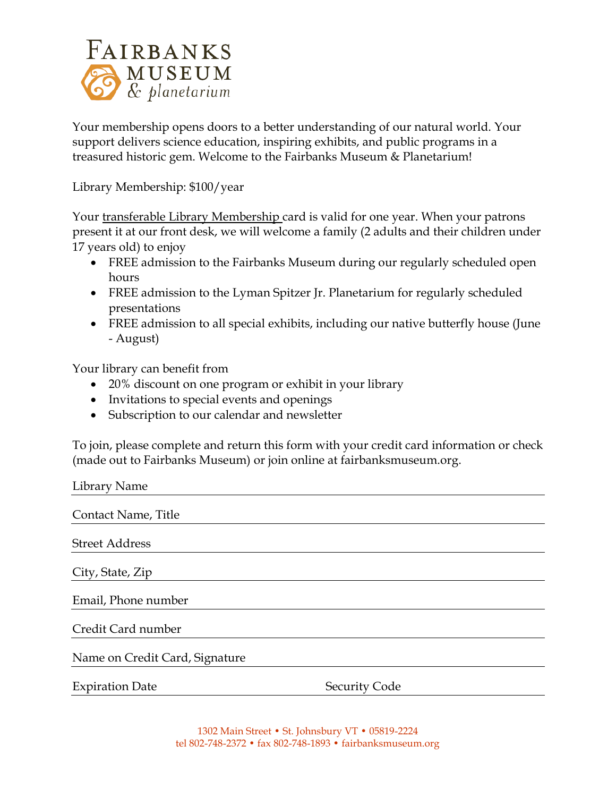

Your membership opens doors to a better understanding of our natural world. Your support delivers science education, inspiring exhibits, and public programs in a treasured historic gem. Welcome to the Fairbanks Museum & Planetarium!

Library Membership: \$100/year

Your transferable Library Membership card is valid for one year. When your patrons present it at our front desk, we will welcome a family (2 adults and their children under 17 years old) to enjoy

- FREE admission to the Fairbanks Museum during our regularly scheduled open hours
- FREE admission to the Lyman Spitzer Jr. Planetarium for regularly scheduled presentations
- FREE admission to all special exhibits, including our native butterfly house (June - August)

Your library can benefit from

- 20% discount on one program or exhibit in your library
- Invitations to special events and openings
- Subscription to our calendar and newsletter

To join, please complete and return this form with your credit card information or check (made out to Fairbanks Museum) or join online at fairbanksmuseum.org.

| Library Name                   |                      |
|--------------------------------|----------------------|
| Contact Name, Title            |                      |
| <b>Street Address</b>          |                      |
| City, State, Zip               |                      |
| Email, Phone number            |                      |
| Credit Card number             |                      |
| Name on Credit Card, Signature |                      |
| <b>Expiration Date</b>         | <b>Security Code</b> |